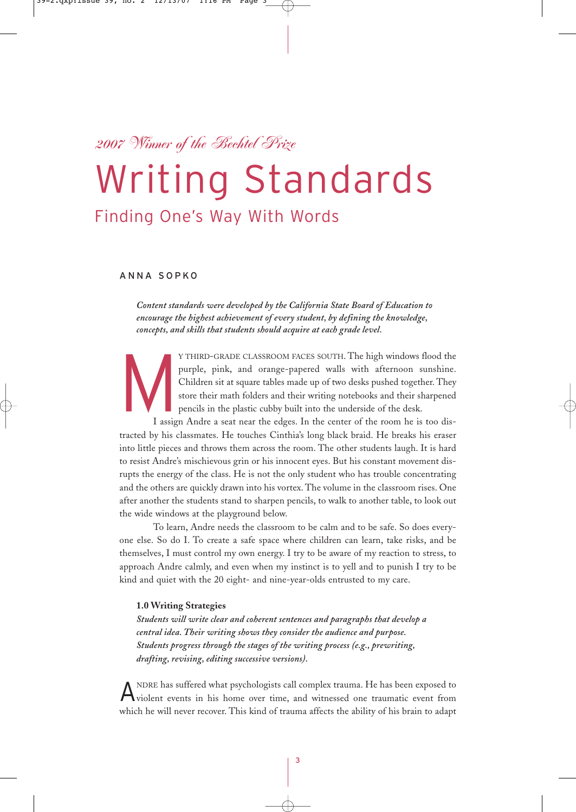# *2007 Winner of the Bechtel Prize*

# Writing Standards

# Finding One's Way With Words

## ANNA SOPKO

*Content standards were developed by the California State Board of Education to encourage the highest achievement of every student, by defining the knowledge, concepts, and skills that students should acquire at each grade level.*

Y THIRD-GRADE CLASSROOM FACES SOUTH. The high windows flood the purple, pink, and orange-papered walls with afternoon sunshine. Children sit at square tables made up of two desks pushed together. They store their math fold purple, pink, and orange-papered walls with afternoon sunshine. Children sit at square tables made up of two desks pushed together. They store their math folders and their writing notebooks and their sharpened pencils in the plastic cubby built into the underside of the desk.

I assign Andre a seat near the edges. In the center of the room he is too distracted by his classmates. He touches Cinthia's long black braid. He breaks his eraser into little pieces and throws them across the room. The other students laugh. It is hard to resist Andre's mischievous grin or his innocent eyes. But his constant movement disrupts the energy of the class. He is not the only student who has trouble concentrating and the others are quickly drawn into his vortex. The volume in the classroom rises. One after another the students stand to sharpen pencils, to walk to another table, to look out the wide windows at the playground below.

To learn, Andre needs the classroom to be calm and to be safe. So does everyone else. So do I. To create a safe space where children can learn, take risks, and be themselves, I must control my own energy. I try to be aware of my reaction to stress, to approach Andre calmly, and even when my instinct is to yell and to punish I try to be kind and quiet with the 20 eight- and nine-year-olds entrusted to my care.

## **1.0 Writing Strategies**

*Students will write clear and coherent sentences and paragraphs that develop a central idea. Their writing shows they consider the audience and purpose. Students progress through the stages of the writing process (e.g., prewriting, drafting, revising, editing successive versions).*

A NDRE has suffered what psychologists call complex trauma. He has been exposed to violent events in his home over time, and witnessed one traumatic event from which he will never recover. This kind of trauma affects the ability of his brain to adapt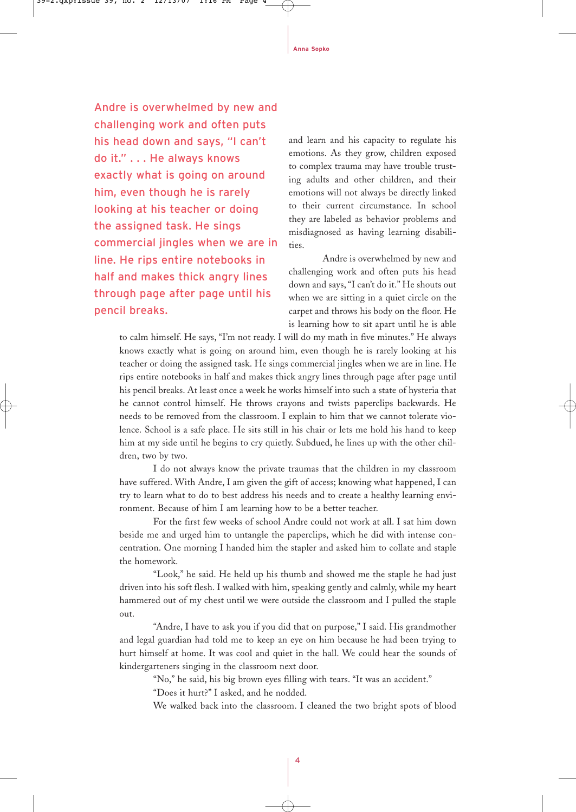Andre is overwhelmed by new and challenging work and often puts his head down and says, "I can't do it." . . . He always knows exactly what is going on around him, even though he is rarely looking at his teacher or doing the assigned task. He sings commercial jingles when we are in line. He rips entire notebooks in half and makes thick angry lines through page after page until his pencil breaks.

and learn and his capacity to regulate his emotions. As they grow, children exposed to complex trauma may have trouble trusting adults and other children, and their emotions will not always be directly linked to their current circumstance. In school they are labeled as behavior problems and misdiagnosed as having learning disabilities.

Andre is overwhelmed by new and challenging work and often puts his head down and says, "I can't do it." He shouts out when we are sitting in a quiet circle on the carpet and throws his body on the floor. He is learning how to sit apart until he is able

to calm himself. He says, "I'm not ready. I will do my math in five minutes." He always knows exactly what is going on around him, even though he is rarely looking at his teacher or doing the assigned task. He sings commercial jingles when we are in line. He rips entire notebooks in half and makes thick angry lines through page after page until his pencil breaks. At least once a week he works himself into such a state of hysteria that he cannot control himself. He throws crayons and twists paperclips backwards. He needs to be removed from the classroom. I explain to him that we cannot tolerate violence. School is a safe place. He sits still in his chair or lets me hold his hand to keep him at my side until he begins to cry quietly. Subdued, he lines up with the other children, two by two.

I do not always know the private traumas that the children in my classroom have suffered. With Andre, I am given the gift of access; knowing what happened, I can try to learn what to do to best address his needs and to create a healthy learning environment. Because of him I am learning how to be a better teacher.

For the first few weeks of school Andre could not work at all. I sat him down beside me and urged him to untangle the paperclips, which he did with intense concentration. One morning I handed him the stapler and asked him to collate and staple the homework.

"Look," he said. He held up his thumb and showed me the staple he had just driven into his soft flesh. I walked with him, speaking gently and calmly, while my heart hammered out of my chest until we were outside the classroom and I pulled the staple out.

"Andre, I have to ask you if you did that on purpose," I said. His grandmother and legal guardian had told me to keep an eye on him because he had been trying to hurt himself at home. It was cool and quiet in the hall. We could hear the sounds of kindergarteners singing in the classroom next door.

"No," he said, his big brown eyes filling with tears. "It was an accident."

"Does it hurt?" I asked, and he nodded.

We walked back into the classroom. I cleaned the two bright spots of blood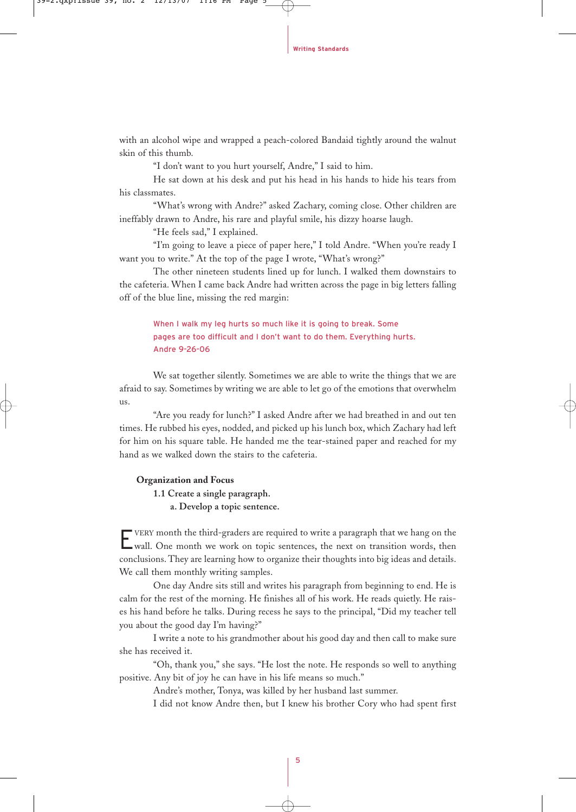with an alcohol wipe and wrapped a peach-colored Bandaid tightly around the walnut skin of this thumb.

"I don't want to you hurt yourself, Andre," I said to him.

He sat down at his desk and put his head in his hands to hide his tears from his classmates.

"What's wrong with Andre?" asked Zachary, coming close. Other children are ineffably drawn to Andre, his rare and playful smile, his dizzy hoarse laugh.

"He feels sad," I explained.

"I'm going to leave a piece of paper here," I told Andre. "When you're ready I want you to write." At the top of the page I wrote, "What's wrong?"

The other nineteen students lined up for lunch. I walked them downstairs to the cafeteria. When I came back Andre had written across the page in big letters falling off of the blue line, missing the red margin:

When I walk my leg hurts so much like it is going to break. Some pages are too difficult and I don't want to do them. Everything hurts. Andre 9-26-06

We sat together silently. Sometimes we are able to write the things that we are afraid to say. Sometimes by writing we are able to let go of the emotions that overwhelm us.

"Are you ready for lunch?" I asked Andre after we had breathed in and out ten times. He rubbed his eyes, nodded, and picked up his lunch box, which Zachary had left for him on his square table. He handed me the tear-stained paper and reached for my hand as we walked down the stairs to the cafeteria.

#### **Organization and Focus**

**1.1 Create a single paragraph.**

**a. Develop a topic sentence.**

EVERY month the third-graders are required to write a paragraph that we hang on the wall. One month we work on topic sentences, the next on transition words, then conclusions. They are learning how to organize their thoughts into big ideas and details. We call them monthly writing samples.

One day Andre sits still and writes his paragraph from beginning to end. He is calm for the rest of the morning. He finishes all of his work. He reads quietly. He raises his hand before he talks. During recess he says to the principal, "Did my teacher tell you about the good day I'm having?"

I write a note to his grandmother about his good day and then call to make sure she has received it.

"Oh, thank you," she says. "He lost the note. He responds so well to anything positive. Any bit of joy he can have in his life means so much."

Andre's mother, Tonya, was killed by her husband last summer.

I did not know Andre then, but I knew his brother Cory who had spent first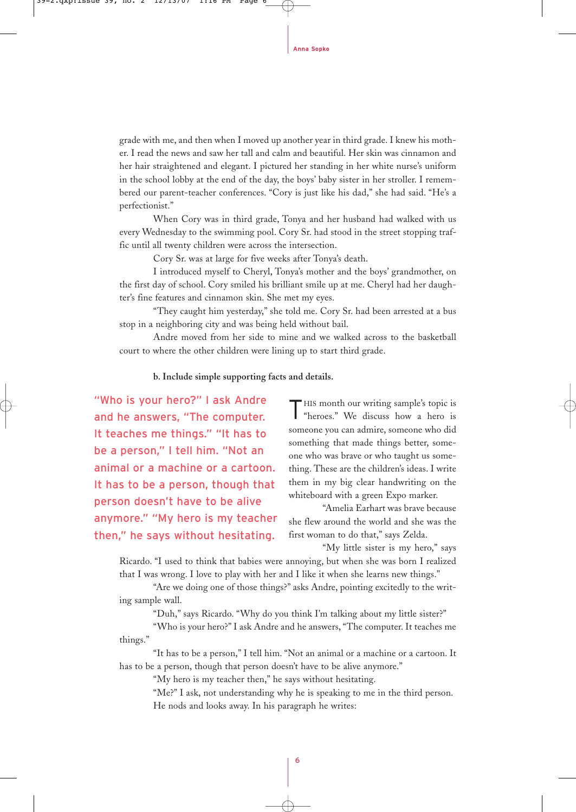grade with me, and then when I moved up another year in third grade. I knew his mother. I read the news and saw her tall and calm and beautiful. Her skin was cinnamon and her hair straightened and elegant. I pictured her standing in her white nurse's uniform in the school lobby at the end of the day, the boys' baby sister in her stroller. I remembered our parent-teacher conferences. "Cory is just like his dad," she had said. "He's a perfectionist."

When Cory was in third grade, Tonya and her husband had walked with us every Wednesday to the swimming pool. Cory Sr. had stood in the street stopping traffic until all twenty children were across the intersection.

Cory Sr. was at large for five weeks after Tonya's death.

I introduced myself to Cheryl, Tonya's mother and the boys' grandmother, on the first day of school. Cory smiled his brilliant smile up at me. Cheryl had her daughter's fine features and cinnamon skin. She met my eyes.

"They caught him yesterday," she told me. Cory Sr. had been arrested at a bus stop in a neighboring city and was being held without bail.

Andre moved from her side to mine and we walked across to the basketball court to where the other children were lining up to start third grade.

#### **b. Include simple supporting facts and details.**

"Who is your hero?" I ask Andre and he answers, "The computer. It teaches me things." "It has to be a person," I tell him. "Not an animal or a machine or a cartoon. It has to be a person, though that person doesn't have to be alive anymore." "My hero is my teacher then," he says without hesitating.

THIS month our writing sample's topic is "heroes." We discuss how a hero is someone you can admire, someone who did something that made things better, someone who was brave or who taught us something. These are the children's ideas. I write them in my big clear handwriting on the whiteboard with a green Expo marker.

"Amelia Earhart was brave because she flew around the world and she was the first woman to do that," says Zelda.

"My little sister is my hero," says Ricardo. "I used to think that babies were annoying, but when she was born I realized

that I was wrong. I love to play with her and I like it when she learns new things."

"Are we doing one of those things?" asks Andre, pointing excitedly to the writing sample wall.

"Duh," says Ricardo. "Why do you think I'm talking about my little sister?"

"Who is your hero?" I ask Andre and he answers, "The computer. It teaches me things."

"It has to be a person," I tell him. "Not an animal or a machine or a cartoon. It has to be a person, though that person doesn't have to be alive anymore."

"My hero is my teacher then," he says without hesitating.

"Me?" I ask, not understanding why he is speaking to me in the third person. He nods and looks away. In his paragraph he writes: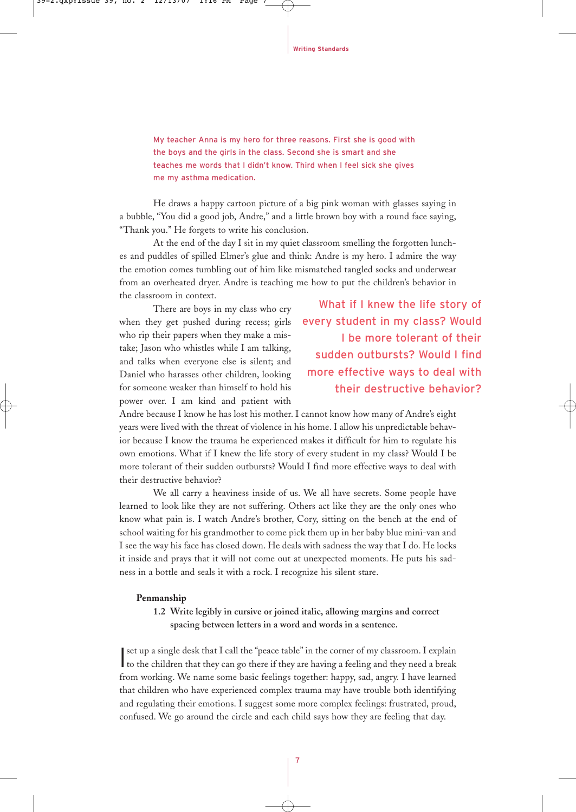My teacher Anna is my hero for three reasons. First she is good with the boys and the girls in the class. Second she is smart and she teaches me words that I didn't know. Third when I feel sick she gives me my asthma medication.

He draws a happy cartoon picture of a big pink woman with glasses saying in a bubble, "You did a good job, Andre," and a little brown boy with a round face saying, "Thank you." He forgets to write his conclusion.

At the end of the day I sit in my quiet classroom smelling the forgotten lunches and puddles of spilled Elmer's glue and think: Andre is my hero. I admire the way the emotion comes tumbling out of him like mismatched tangled socks and underwear from an overheated dryer. Andre is teaching me how to put the children's behavior in the classroom in context.

There are boys in my class who cry when they get pushed during recess; girls who rip their papers when they make a mistake; Jason who whistles while I am talking, and talks when everyone else is silent; and Daniel who harasses other children, looking for someone weaker than himself to hold his power over. I am kind and patient with

What if I knew the life story of every student in my class? Would I be more tolerant of their sudden outbursts? Would I find more effective ways to deal with their destructive behavior?

Andre because I know he has lost his mother. I cannot know how many of Andre's eight years were lived with the threat of violence in his home. I allow his unpredictable behavior because I know the trauma he experienced makes it difficult for him to regulate his own emotions. What if I knew the life story of every student in my class? Would I be more tolerant of their sudden outbursts? Would I find more effective ways to deal with their destructive behavior?

We all carry a heaviness inside of us. We all have secrets. Some people have learned to look like they are not suffering. Others act like they are the only ones who know what pain is. I watch Andre's brother, Cory, sitting on the bench at the end of school waiting for his grandmother to come pick them up in her baby blue mini-van and I see the way his face has closed down. He deals with sadness the way that I do. He locks it inside and prays that it will not come out at unexpected moments. He puts his sadness in a bottle and seals it with a rock. I recognize his silent stare.

#### **Penmanship**

**1.2 Write legibly in cursive or joined italic, allowing margins and correct spacing between letters in a word and words in a sentence.**

Set up a single desk that I call the "peace table" in the corner of my classroom. I explain to the children that they can go there if they are having a feeling and they need a break set up a single desk that I call the "peace table" in the corner of my classroom. I explain from working. We name some basic feelings together: happy, sad, angry. I have learned that children who have experienced complex trauma may have trouble both identifying and regulating their emotions. I suggest some more complex feelings: frustrated, proud, confused. We go around the circle and each child says how they are feeling that day.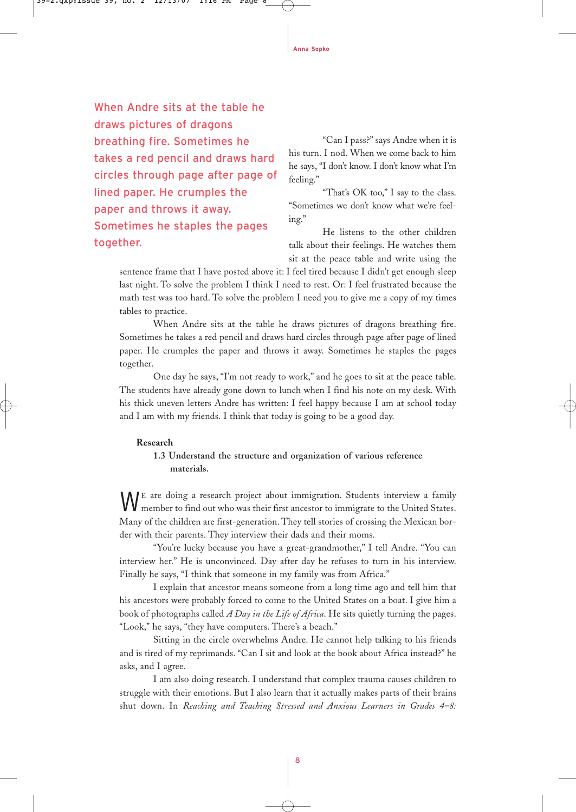When Andre sits at the table he draws pictures of dragons breathing fire. Sometimes he takes a red pencil and draws hard circles through page after page of lined paper. He crumples the paper and throws it away. Sometimes he staples the pages together.

"Can I pass?" says Andre when it is his turn. I nod. When we come back to him he says, "I don't know. I don't know what I'm feeling."

"That's OK too," I say to the class. "Sometimes we don't know what we're feeling."

He listens to the other children talk about their feelings. He watches them sit at the peace table and write using the

sentence frame that I have posted above it: I feel tired because I didn't get enough sleep last night. To solve the problem I think I need to rest. Or: I feel frustrated because the math test was too hard. To solve the problem I need you to give me a copy of my times tables to practice.

When Andre sits at the table he draws pictures of dragons breathing fire. Sometimes he takes a red pencil and draws hard circles through page after page of lined paper. He crumples the paper and throws it away. Sometimes he staples the pages together.

One day he says, "I'm not ready to work," and he goes to sit at the peace table. The students have already gone down to lunch when I find his note on my desk. With his thick uneven letters Andre has written: I feel happy because I am at school today and I am with my friends. I think that today is going to be a good day.

# **Research**

# **1.3 Understand the structure and organization of various reference materials.**

WE are doing a research project about immigration. Students interview a family member to find out who was their first ancestor to immigrate to the United States. Many of the children are first-generation. They tell stories of crossing the Mexican border with their parents. They interview their dads and their moms.

"You're lucky because you have a great-grandmother," I tell Andre. "You can interview her." He is unconvinced. Day after day he refuses to turn in his interview. Finally he says, "I think that someone in my family was from Africa."

I explain that ancestor means someone from a long time ago and tell him that his ancestors were probably forced to come to the United States on a boat. I give him a book of photographs called *A Day in the Life of Africa*. He sits quietly turning the pages. "Look," he says, "they have computers. There's a beach."

Sitting in the circle overwhelms Andre. He cannot help talking to his friends and is tired of my reprimands. "Can I sit and look at the book about Africa instead?" he asks, and I agree.

I am also doing research. I understand that complex trauma causes children to struggle with their emotions. But I also learn that it actually makes parts of their brains shut down. In *Reaching and Teaching Stressed and Anxious Learners in Grades 4–8:*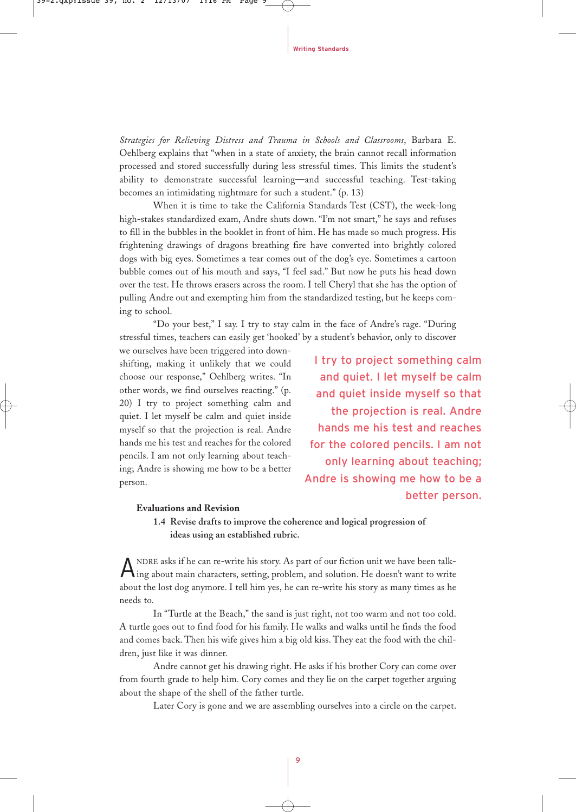*Strategies for Relieving Distress and Trauma in Schools and Classrooms*, Barbara E. Oehlberg explains that "when in a state of anxiety, the brain cannot recall information processed and stored successfully during less stressful times. This limits the student's ability to demonstrate successful learning—and successful teaching. Test-taking becomes an intimidating nightmare for such a student." (p. 13)

When it is time to take the California Standards Test (CST), the week-long high-stakes standardized exam, Andre shuts down. "I'm not smart," he says and refuses to fill in the bubbles in the booklet in front of him. He has made so much progress. His frightening drawings of dragons breathing fire have converted into brightly colored dogs with big eyes. Sometimes a tear comes out of the dog's eye. Sometimes a cartoon bubble comes out of his mouth and says, "I feel sad." But now he puts his head down over the test. He throws erasers across the room. I tell Cheryl that she has the option of pulling Andre out and exempting him from the standardized testing, but he keeps coming to school.

"Do your best," I say. I try to stay calm in the face of Andre's rage. "During stressful times, teachers can easily get 'hooked' by a student's behavior, only to discover

we ourselves have been triggered into downshifting, making it unlikely that we could choose our response," Oehlberg writes. "In other words, we find ourselves reacting." (p. 20) I try to project something calm and quiet. I let myself be calm and quiet inside myself so that the projection is real. Andre hands me his test and reaches for the colored pencils. I am not only learning about teaching; Andre is showing me how to be a better person.

I try to project something calm and quiet. I let myself be calm and quiet inside myself so that the projection is real. Andre hands me his test and reaches for the colored pencils. I am not only learning about teaching; Andre is showing me how to be a better person.

#### **Evaluations and Revision**

# **1.4 Revise drafts to improve the coherence and logical progression of ideas using an established rubric.**

ANDRE asks if he can re-write his story. As part of our fiction unit we have been talk-ing about main characters, setting, problem, and solution. He doesn't want to write about the lost dog anymore. I tell him yes, he can re-write his story as many times as he needs to.

In "Turtle at the Beach," the sand is just right, not too warm and not too cold. A turtle goes out to find food for his family. He walks and walks until he finds the food and comes back. Then his wife gives him a big old kiss. They eat the food with the children, just like it was dinner.

Andre cannot get his drawing right. He asks if his brother Cory can come over from fourth grade to help him. Cory comes and they lie on the carpet together arguing about the shape of the shell of the father turtle.

Later Cory is gone and we are assembling ourselves into a circle on the carpet.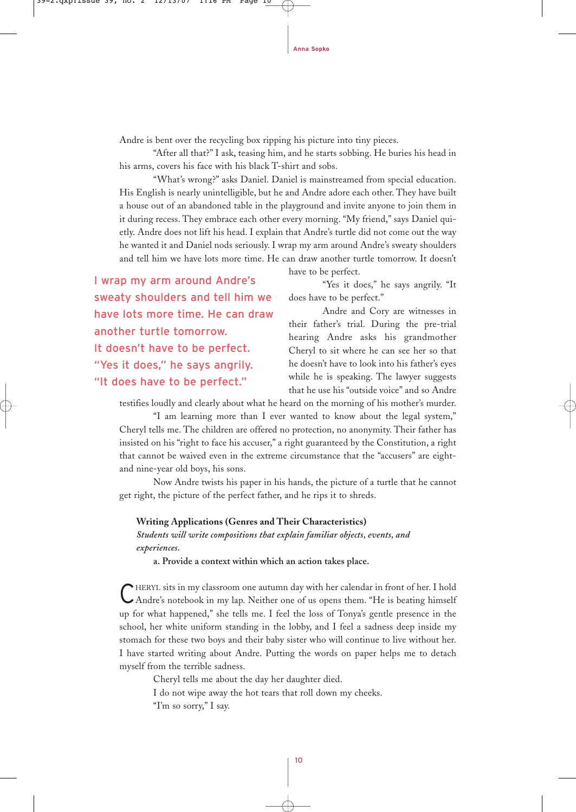Andre is bent over the recycling box ripping his picture into tiny pieces.

"After all that?" I ask, teasing him, and he starts sobbing. He buries his head in his arms, covers his face with his black T-shirt and sobs.

"What's wrong?" asks Daniel. Daniel is mainstreamed from special education. His English is nearly unintelligible, but he and Andre adore each other. They have built a house out of an abandoned table in the playground and invite anyone to join them in it during recess. They embrace each other every morning. "My friend," says Daniel quietly. Andre does not lift his head. I explain that Andre's turtle did not come out the way he wanted it and Daniel nods seriously. I wrap my arm around Andre's sweaty shoulders and tell him we have lots more time. He can draw another turtle tomorrow. It doesn't

I wrap my arm around Andre's sweaty shoulders and tell him we have lots more time. He can draw another turtle tomorrow. It doesn't have to be perfect. "Yes it does," he says angrily. "It does have to be perfect."

have to be perfect.

"Yes it does," he says angrily. "It does have to be perfect."

Andre and Cory are witnesses in their father's trial. During the pre-trial hearing Andre asks his grandmother Cheryl to sit where he can see her so that he doesn't have to look into his father's eyes while he is speaking. The lawyer suggests that he use his "outside voice" and so Andre

testifies loudly and clearly about what he heard on the morning of his mother's murder.

"I am learning more than I ever wanted to know about the legal system," Cheryl tells me. The children are offered no protection, no anonymity. Their father has insisted on his "right to face his accuser," a right guaranteed by the Constitution, a right that cannot be waived even in the extreme circumstance that the "accusers" are eightand nine-year old boys, his sons.

Now Andre twists his paper in his hands, the picture of a turtle that he cannot get right, the picture of the perfect father, and he rips it to shreds.

# **Writing Applications (Genres and Their Characteristics)** *Students will write compositions that explain familiar objects, events, and experiences.*

**a. Provide a context within which an action takes place.**

CHERYL sits in my classroom one autumn day with her calendar in front of her. I hold<br>CAndre's notebook in my lap. Neither one of us opens them. "He is beating himself up for what happened," she tells me. I feel the loss of Tonya's gentle presence in the school, her white uniform standing in the lobby, and I feel a sadness deep inside my stomach for these two boys and their baby sister who will continue to live without her. I have started writing about Andre. Putting the words on paper helps me to detach myself from the terrible sadness.

Cheryl tells me about the day her daughter died.

I do not wipe away the hot tears that roll down my cheeks.

"I'm so sorry," I say.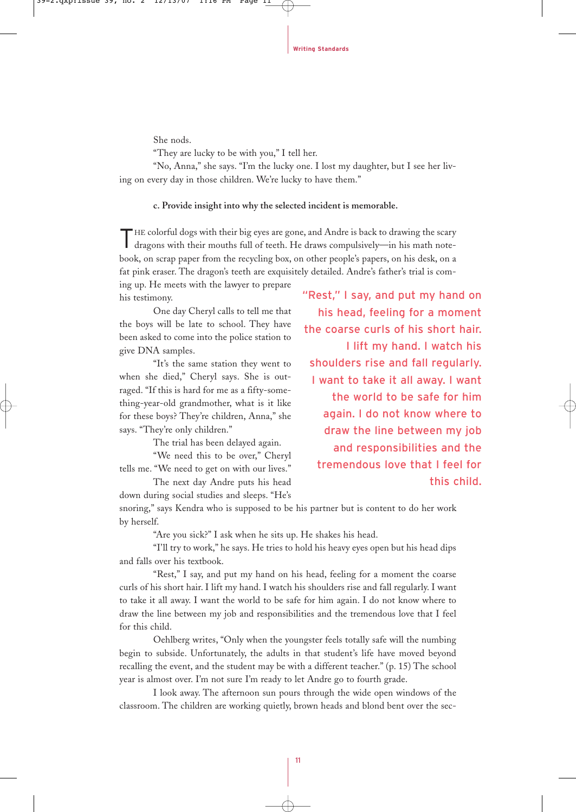She nods.

"They are lucky to be with you," I tell her.

"No, Anna," she says. "I'm the lucky one. I lost my daughter, but I see her living on every day in those children. We're lucky to have them."

#### **c. Provide insight into why the selected incident is memorable.**

THE colorful dogs with their big eyes are gone, and Andre is back to drawing the scary dragons with their mouths full of teeth. He draws compulsively—in his math notebook, on scrap paper from the recycling box, on other people's papers, on his desk, on a fat pink eraser. The dragon's teeth are exquisitely detailed. Andre's father's trial is com-

ing up. He meets with the lawyer to prepare his testimony.

One day Cheryl calls to tell me that the boys will be late to school. They have been asked to come into the police station to give DNA samples.

"It's the same station they went to when she died," Cheryl says. She is outraged. "If this is hard for me as a fifty-something-year-old grandmother, what is it like for these boys? They're children, Anna," she says. "They're only children."

The trial has been delayed again.

"We need this to be over," Cheryl tells me. "We need to get on with our lives."

The next day Andre puts his head down during social studies and sleeps. "He's "Rest," I say, and put my hand on his head, feeling for a moment the coarse curls of his short hair. I lift my hand. I watch his shoulders rise and fall regularly. I want to take it all away. I want the world to be safe for him again. I do not know where to draw the line between my job and responsibilities and the tremendous love that I feel for this child.

snoring," says Kendra who is supposed to be his partner but is content to do her work by herself.

"Are you sick?" I ask when he sits up. He shakes his head.

"I'll try to work," he says. He tries to hold his heavy eyes open but his head dips and falls over his textbook.

"Rest," I say, and put my hand on his head, feeling for a moment the coarse curls of his short hair. I lift my hand. I watch his shoulders rise and fall regularly. I want to take it all away. I want the world to be safe for him again. I do not know where to draw the line between my job and responsibilities and the tremendous love that I feel for this child.

Oehlberg writes, "Only when the youngster feels totally safe will the numbing begin to subside. Unfortunately, the adults in that student's life have moved beyond recalling the event, and the student may be with a different teacher." (p. 15) The school year is almost over. I'm not sure I'm ready to let Andre go to fourth grade.

I look away. The afternoon sun pours through the wide open windows of the classroom. The children are working quietly, brown heads and blond bent over the sec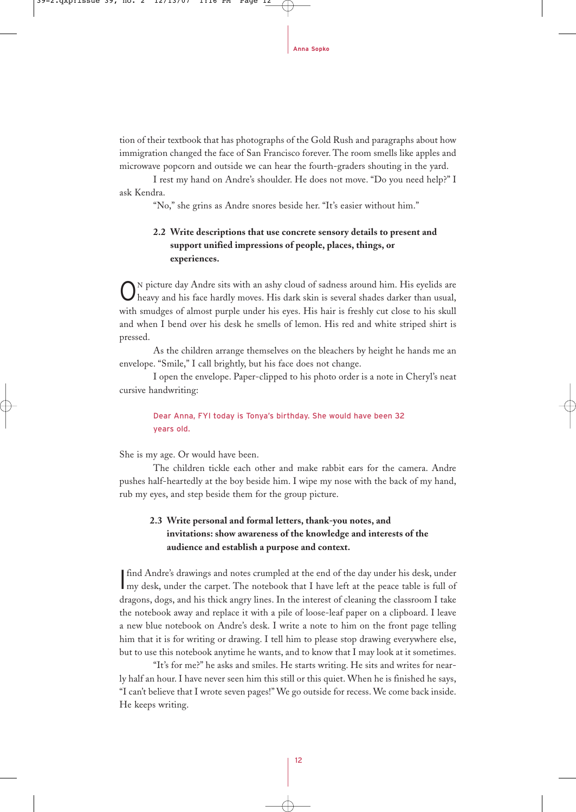tion of their textbook that has photographs of the Gold Rush and paragraphs about how immigration changed the face of San Francisco forever. The room smells like apples and microwave popcorn and outside we can hear the fourth-graders shouting in the yard.

I rest my hand on Andre's shoulder. He does not move. "Do you need help?" I ask Kendra.

"No," she grins as Andre snores beside her. "It's easier without him."

# **2.2 Write descriptions that use concrete sensory details to present and support unified impressions of people, places, things, or experiences.**

O<sup>N</sup> picture day Andre sits with an ashy cloud of sadness around him. His eyelids are heavy and his face hardly moves. His dark skin is several shades darker than usual, with smudges of almost purple under his eyes. His hair is freshly cut close to his skull and when I bend over his desk he smells of lemon. His red and white striped shirt is pressed.

As the children arrange themselves on the bleachers by height he hands me an envelope. "Smile," I call brightly, but his face does not change.

I open the envelope. Paper-clipped to his photo order is a note in Cheryl's neat cursive handwriting:

Dear Anna, FYI today is Tonya's birthday. She would have been 32 years old.

She is my age. Or would have been.

The children tickle each other and make rabbit ears for the camera. Andre pushes half-heartedly at the boy beside him. I wipe my nose with the back of my hand, rub my eyes, and step beside them for the group picture.

# **2.3 Write personal and formal letters, thank-you notes, and invitations: show awareness of the knowledge and interests of the audience and establish a purpose and context.**

If find Andre's drawings and notes crumpled at the end of the day under his desk, under my desk, under the carpet. The notebook that I have left at the peace table is full of find Andre's drawings and notes crumpled at the end of the day under his desk, under dragons, dogs, and his thick angry lines. In the interest of cleaning the classroom I take the notebook away and replace it with a pile of loose-leaf paper on a clipboard. I leave a new blue notebook on Andre's desk. I write a note to him on the front page telling him that it is for writing or drawing. I tell him to please stop drawing everywhere else, but to use this notebook anytime he wants, and to know that I may look at it sometimes.

"It's for me?" he asks and smiles. He starts writing. He sits and writes for nearly half an hour. I have never seen him this still or this quiet. When he is finished he says, "I can't believe that I wrote seven pages!" We go outside for recess. We come back inside. He keeps writing.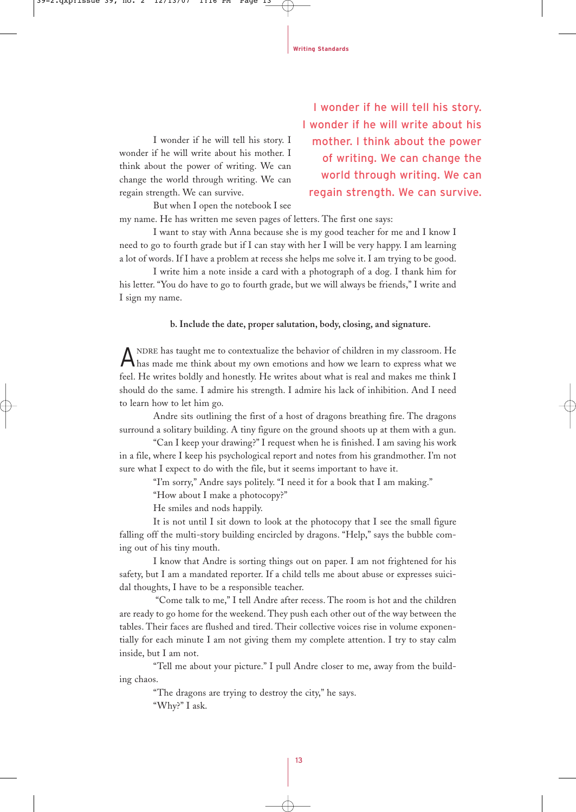I wonder if he will tell his story. I wonder if he will write about his mother. I think about the power of writing. We can change the world through writing. We can regain strength. We can survive.

I wonder if he will tell his story. I wonder if he will write about his mother. I think about the power of writing. We can change the world through writing. We can regain strength. We can survive.

But when I open the notebook I see my name. He has written me seven pages of letters. The first one says:

I want to stay with Anna because she is my good teacher for me and I know I need to go to fourth grade but if I can stay with her I will be very happy. I am learning a lot of words. If I have a problem at recess she helps me solve it. I am trying to be good.

I write him a note inside a card with a photograph of a dog. I thank him for his letter. "You do have to go to fourth grade, but we will always be friends," I write and I sign my name.

**b. Include the date, proper salutation, body, closing, and signature.**

A NDRE has taught me to contextualize the behavior of children in my classroom. He has made me think about my own emotions and how we learn to express what we feel. He writes boldly and honestly. He writes about what is real and makes me think I should do the same. I admire his strength. I admire his lack of inhibition. And I need to learn how to let him go.

Andre sits outlining the first of a host of dragons breathing fire. The dragons surround a solitary building. A tiny figure on the ground shoots up at them with a gun.

"Can I keep your drawing?" I request when he is finished. I am saving his work in a file, where I keep his psychological report and notes from his grandmother. I'm not sure what I expect to do with the file, but it seems important to have it.

"I'm sorry," Andre says politely. "I need it for a book that I am making."

"How about I make a photocopy?"

He smiles and nods happily.

It is not until I sit down to look at the photocopy that I see the small figure falling off the multi-story building encircled by dragons. "Help," says the bubble coming out of his tiny mouth.

I know that Andre is sorting things out on paper. I am not frightened for his safety, but I am a mandated reporter. If a child tells me about abuse or expresses suicidal thoughts, I have to be a responsible teacher.

"Come talk to me," I tell Andre after recess. The room is hot and the children are ready to go home for the weekend. They push each other out of the way between the tables. Their faces are flushed and tired. Their collective voices rise in volume exponentially for each minute I am not giving them my complete attention. I try to stay calm inside, but I am not.

"Tell me about your picture." I pull Andre closer to me, away from the building chaos.

"The dragons are trying to destroy the city," he says. "Why?" I ask.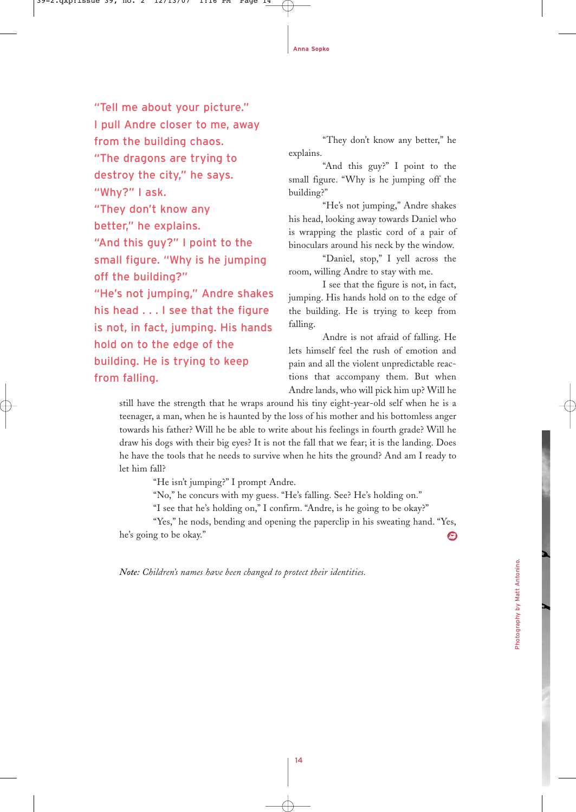"Tell me about your picture." I pull Andre closer to me, away from the building chaos. "The dragons are trying to destroy the city," he says. "Why?" I ask. "They don't know any better," he explains. "And this guy?" I point to the small figure. "Why is he jumping off the building?" "He's not jumping," Andre shakes his head . . . I see that the figure is not, in fact, jumping. His hands hold on to the edge of the building. He is trying to keep from falling.

"They don't know any better," he explains.

"And this guy?" I point to the small figure. "Why is he jumping off the building?"

"He's not jumping," Andre shakes his head, looking away towards Daniel who is wrapping the plastic cord of a pair of binoculars around his neck by the window.

"Daniel, stop," I yell across the room, willing Andre to stay with me.

I see that the figure is not, in fact, jumping. His hands hold on to the edge of the building. He is trying to keep from falling.

Andre is not afraid of falling. He lets himself feel the rush of emotion and pain and all the violent unpredictable reactions that accompany them. But when Andre lands, who will pick him up? Will he

still have the strength that he wraps around his tiny eight-year-old self when he is a teenager, a man, when he is haunted by the loss of his mother and his bottomless anger towards his father? Will he be able to write about his feelings in fourth grade? Will he draw his dogs with their big eyes? It is not the fall that we fear; it is the landing. Does he have the tools that he needs to survive when he hits the ground? And am I ready to let him fall?

"He isn't jumping?" I prompt Andre.

"No," he concurs with my guess. "He's falling. See? He's holding on."

"I see that he's holding on," I confirm. "Andre, is he going to be okay?"

"Yes," he nods, bending and opening the paperclip in his sweating hand. "Yes, he's going to be okay." ☺

*Note: Children's names have been changed to protect their identities.*